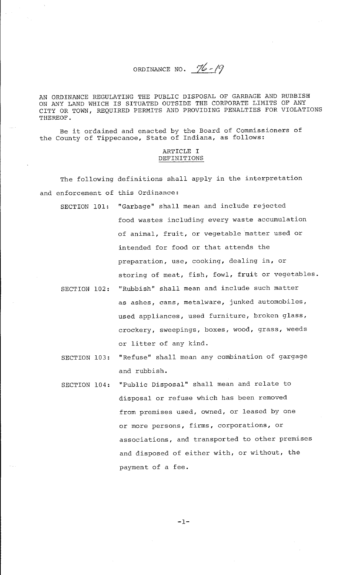ORDINANCE NO.  $\%$ -19

AN ORDINANCE REGULATING THE PUBLIC DISPOSAL OF GARBAGE AND RUBBISH ON ANY LAND WHICH IS SITUATED OUTSIDE THE CORPORATE LIMITS OF ANY CITY OR TOWN, REQUIRED PERMITS AND PROVIDING PENALTIES FOR VIOLATIONS THEREOF.

Be it ordained and enacted by the Board of Commissioners of the County of Tippecanoe, State of Indiana, as follows:

#### ARTICLE I DEFINITIONS

The following definitions shall apply in the interpretation and enforcement of this Ordinance:

- SECTION 101: "Garbage" shall mean and include rejected food wastes including every waste accumulation of animal, fruit, or vegetable matter used or intended for food or that attends the preparation, use, cooking, dealing in, or storing of meat, fish, fowl, fruit or vegetables.
- SECTION 102: "Rubbish" shall mean and include such matter as ashes, cans, metalware, junked automobiles, used appliances, used furniture, broken glass, crockery, sweepings, boxes, wood, grass, weeds or litter of any kind.
- SECTION 103: "Refuse" shall mean any combination of gargage and rubbish.
- SECTION 104: "Public Disposal" shall mean and relate to disposal or refuse which has been removed from premises used, owned, or leased by one or more persons, firms, corporations, or associations, and transported to other premises and disposed of either with, or without, the payment of a fee.

-1-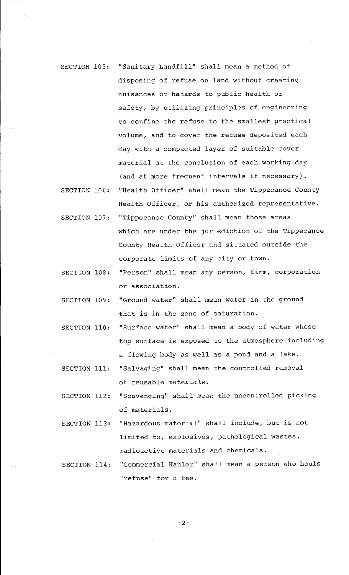- SECTION 105: "Sanitary Landfill" shall mean a method of disposing of refuse on land without creating nuisances or hazards to public health or safety, by utilizing principles of engineering to confine the refuse to the smallest practical volume, and to cover the refuse deposited each day with a compacted layer of suitable cover material at the conclusion of each working day (and at more frequent intervals if necessary).
- SECTION 106: "Health Officer" shall mean the Tippecanoe County Health Officer, or his authorized representative.
- SECTION 107: "Tippecanoe County" shall mean those areas which are under the jurisdiction of the Tippecanoe County Health Officer and situated outside the corporate limits of any city or town.
- SECTION 108: "Person" shall mean any person, firm, corporation or association.
- SECTION 109: "Ground water" shall mean water in the ground that is in the zone of saturation.
- SECTION 110: "Surface water" shall mean a body of water whose top surface is exposed to the atmosphere including a flowing body as well as a pond and a lake.
- SECTION 111: "Salvaging" shall mean the controlled removal of reusable materials.
- SECTION 112: "Scavenging" shall mean the uncontrolled picking of materials.
- SECTION 113: "Hazardous material" shall include, but is not limited to, explosives, pathological wastes, radioactive materials and chemicals.
- SECTION 114: "Commercial Hauler" shall mean a person who hauls **''refuse'' for a fee.**

 $-2-$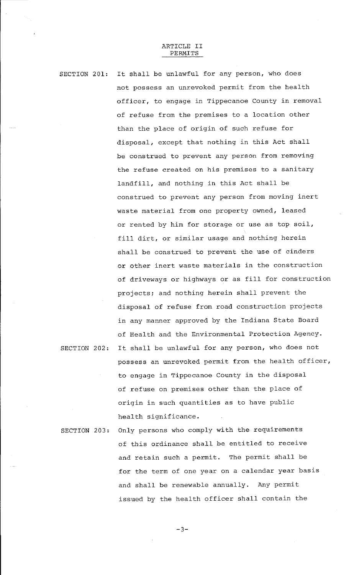#### ARTICLE II PERMITS

SECTION 201: It shall be unlawful for any person, who does not possess an unrevoked permit from the health officer, to engage in Tippecanoe County in removal of refuse from the premises to a location other than the place of origin of such refuse for disposal, except that nothing in this Act shall be construed to prevent any person from removing the refuse created on his premises to a sanitary landfill, and nothing in this Act shall be construed to prevent any person from moving inert waste material from one property owned, leased or rented by him for storage or use as top soil, fill dirt, or similar usage and nothing herein shall be construed to prevent the use of cinders or other inert waste materials in the construction of driveways or highways or as fill for construction projects; and nothing herein shall prevent the disposal of refuse from road construction projects in any manner approved by the Indiana State Board of Health and the Environmental Protection Agency. SECTION 202: It shall be unlawful for any person, who does not possess an unrevoked permit from the health officer, to engage in Tippecanoe County in the disposal of refuse on premises other than the place of origin in such quantities as to have public

SECTION 203: Only persons who comply with the requirements of this ordinance shall be entitled to receive and retain such a permit. The permit shall be for the term of one year on a calendar year basis and shall be renewable annually. Any permit issued by the health officer shall contain the

health significance.

 $-3-$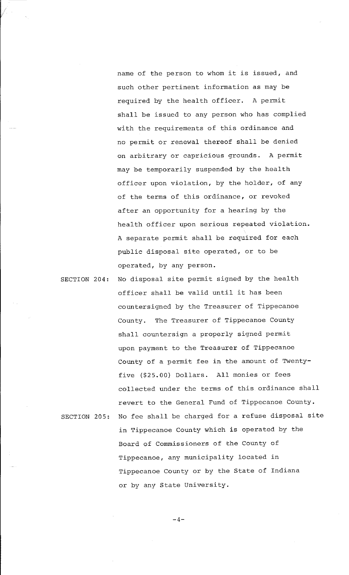name of the person to whom it is issued, and such other pertinent information as may be required by the health officer. A permit shall be issued to any person who has complied with the requirements of this ordinance and no permit or renewal thereof shall be denied on arbitrary or capricious grounds. A permit may be temporarily suspended by the health officer upon violation, by the holder, of any of the terms of this ordinance, or revoked after an opportunity for a hearing by the health officer upon serious repeated violation. A separate permit shall be required for each public disposal site operated, or to be operated, by any person.

SECTION 204: No disposal site permit signed by the health officer shall be valid until it has been countersigned by the Treasurer of Tippecanoe County. The Treasurer of Tippecanoe County shall countersign a properly signed permit upon payment to the Treasurer of Tippecanoe County of a permit fee in the amount of Twentyfive (\$25.00) Dollars. All monies or fees collected under the terms of this ordinance shall revert to the General Fund of Tippecanoe County. SECTION 205: No fee shall be charged for a refuse disposal site in Tippecanoe County which is operated by the Board of Commissioners of the County of Tippecanoe, any municipality located in Tippecanoe County or by the State of Indiana or by any State University.

 $-4-$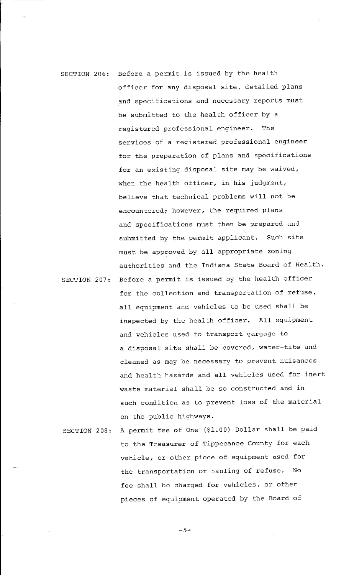# SECTION 206: Before a permit is issued by the health officer for any disposal site, detailed plans and specifications and necessary reports must be submitted to the health officer by a registered professional engineer. The services of a registered professional engineer for the preparation of plans and specifications for an existing disposal site may be waived, when the health officer, in his judgment, believe that technical problems will not be encountered; however, the required plans and specifications must then be prepared and submitted by the permit applicant. Such site must be approved by all appropriate zoning authorities and the Indiana State Board of Health. SECTION 207: Before a permit is issued by the health officer

for the collection and transportation of refuse, all equipment and vehicles to be used shall be inspected by the health officer. All equipment and vehicles used to transport gargage to a disposal site shall be covered, water-tite and cleaned as may be necessary to prevent nuisances and health hazards and all vehicles used for inert waste material shall be so constructed and in such condition as to prevent loss of the material on the public highways.

SECTION 208: A permit fee of One (\$1.00) Dollar shall be paid to the Treasurer of Tippecanoe County for each vehicle, or other piece of equipment used for the transportation or hauling of refuse. No fee shall be charged for vehicles, or other pieces of equipment operated by the Board of

-5-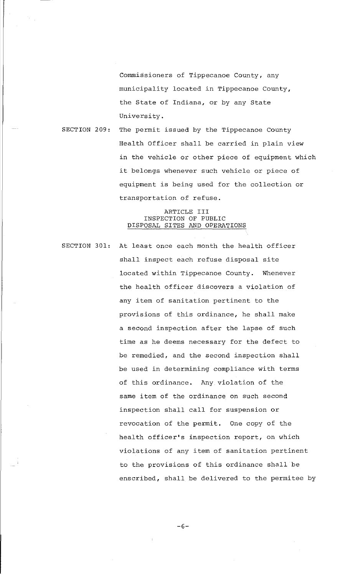Commissioners of Tippecanoe County, any municipality located in Tippecanoe County, the State of Indiana, or by any State University.

SECTION 209: The permit issued by the Tippecanoe County Health Officer shall be carried in plain view in the vehicle or other piece of equipment which it belongs whenever such vehicle or piece of equipment is being used for the collection or transportation of refuse.

## ARTICLE III INSPECTION OF PUBLIC DISPOSAL SITES AND OPERATIONS

SECTION 301: At least once each month the health officer shall inspect each refuse disposal site located within Tippecanoe County. Whenever the health officer discovers a violation of any item of sanitation pertinent to the provisions of this ordinance, he shall make a second inspection after the lapse of such time as he deems necessary for the defect to be remedied, and the second inspection shall be used in determining compliance with terms of this ordinance. Any violation of the same item of the ordinance on such second inspection shall call for suspension or revocation of the permit. One copy of the health officer's inspection report, on which violations of any item of sanitation pertinent to the provisions of this ordinance shall be enscribed, shall be delivered to the permitee by

 $-6-$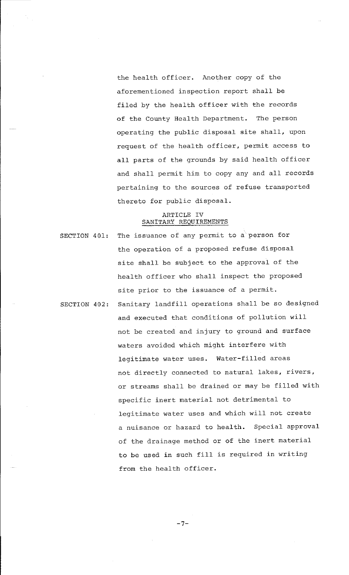the health officer. Another copy of the aforementioned inspection report shall be filed by the health officer with the records of the County Health Department. The person operating the public disposal site shall, upon request of the health officer, permit access to all parts of the grounds by said health officer and shall permit him to copy any and all records pertaining to the sources of refuse transported thereto for public disposal.

#### ARTICLE IV SANITARY REQUIREMENTS

SECTION 401: The issuance of any permit to a person for the operation of a proposed refuse disposal site shall be subject to the approval of the health officer who shall inspect the proposed site prior to the issuance of a permit. SECTION 402: Sanitary landfill operations shall be so designed and executed that conditions of pollution will not be created and injury to ground and surface waters avoided which might interfere with legitimate water uses. Water-filled areas not directly connected to natural lakes, rivers, or streams shall be drained or may be filled with specific inert material not detrimental to legitimate water uses and which will not create a nuisance or hazard to health. Special approval of the drainage method or of the inert material to be used in such fill is required in writing from the health officer.

 $-7-$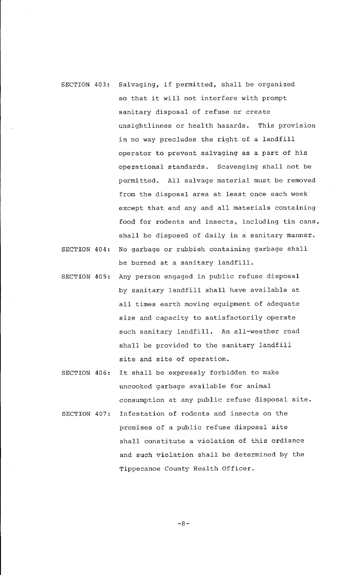- SECTION 403: Salvaging, if permitted, shall be organized so that it will not interfere with prompt sanitary disposal of refuse or create unsightliness or health hazards. This provision in no way precludes the right of a landfill operator to prevent salvaging as a part of his operational standards. Scavenging shall not be permitted. All salvage material must be removed from the disposal area at least once each week except that and any and all materials containing food for rodents and insects, including tin cans, shall be disposed of daily in a sanitary manner. SECTION 404: No garbage or rubbish containing garbage shall
- be burned at a sanitary landfill.
- SECTION 405: Any person engaged in public refuse disposal by sanitary landfill shall have available at all times earth moving equipment of adequate size and capacity to satisfactorily operate such sanitary landfill. An all-weather road shall be provided to the sanitary landfill site and site of operation.
- SECTION 406: It shall be expressly forbidden to make uncooked garbage available for animal consumption at any public refuse disposal site.
- SECTION 407: Infestation of rodents and insects on the premises of a public refuse disposal site shall constitute a violation of this ordiance and such violation shall be determined by the Tippecanoe County Health Officer.

-8-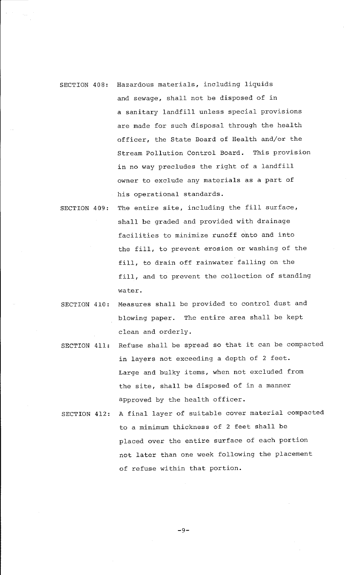- SECTION 408: Hazardous materials, including liquids and sewage, shall not be disposed of in a sanitary landfill unless special provisions are made for such disposal through the health officer, the State Board of Health and/or the Stream Pollution Control Board. This provision in no way precludes the right of a landfill owner to exclude any materials as a part of his operational standards.
- SECTION 409: The entire site, including the fill surface, shall be graded and provided with drainage facilities to minimize runoff onto and into the fill, to prevent erosion or washing of the fill, to drain off rainwater falling on the fill, and to prevent the collection of standing water.
- SECTION 410: Measures shall be provided to control dust and blowing paper. The entire area shall be kept clean and orderly.
- SECTION 411: Refuse shall be spread so that it can be compacted in layers not exceeding a depth of 2 feet. Large and bulky items, when not excluded from the site, shall be disposed of in a manner approved by the health officer.
- SECTION 412: A final layer of suitable cover material compacted to a minimum thickness of 2 feet shall be placed over the entire surface of each portion not later than one week following the placement of refuse within that portion.

-9-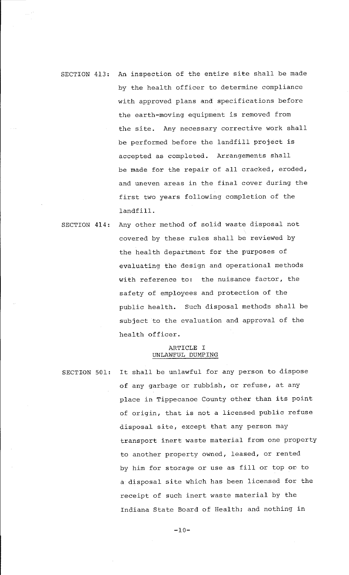# SECTION 413: An inspection of the entire site shall be made by the health officer to determine compliance with approved plans and specifications before the earth-moving equipment is removed from the site. Any necessary corrective work shall be performed before the landfill project is accepted as completed. Arrangements shall be made for the repair of all cracked, eroded, and uneven areas in the final cover during the first two years following completion of the landfill.

SECTION 414: Any other method of solid waste disposal not covered by these rules shall be reviewed by the health department for the purposes of evaluating the design and operational methods with reference to: the nuisance factor, the safety of employees and protection of the public health. Such disposal methods shall be subject to the evaluation and approval of the health officer.

## ARTICLE I UNLAWFUL DUMPING

SECTION 501: It shall be unlawful for any person to dispose of any garbage or rubbish, or refuse, at any place in Tippecanoe County other than its point of origin, that is not a licensed public refuse disposal site, except that any person may transport inert waste material from one property to another property owned, leased, or rented by him for storage or use as fill or top or to a disposal site which has been licensed for the receipt of such inert waste material by the Indiana State Board of Health; and nothing in

 $-10-$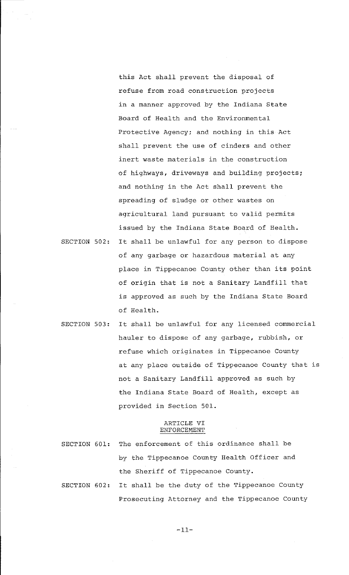this Act shall prevent the disposal of refuse from road construction projects in a manner approved by the Indiana State Board of Health and the Environmental Protective Agency; and nothing in this Act shall prevent the use of cinders and other inert waste materials in the construction of highways, driveways and building projects; and nothing in the Act shall prevent the spreading of sludge or other wastes on agricultural land pursuant to valid permits issued by the Indiana State Board of Health.

- SECTION 502: It shall be unlawful for any person to dispose of any garbage or hazardous material at any place in Tippecanoe County other than its point of origin that is not a Sanitary Landfill that is approved as such by the Indiana State Board of Health.
- SECTION 503: It shall be unlawful for any licensed commercial hauler to dispose of any garbage, rubbish, or refuse which originates in Tippecanoe County at any place outside of Tippecanoe County that is not a Sanitary Landfill approved as such by the Indiana State Board of Health, except as provided in Section 501.

#### ARTICLE VI ENFORCEMENT

- SECTION 601: The enforcement of this ordinance shall be by the Tippecanoe County Health Officer and the Sheriff of Tippecanoe County. SECTION 602: It shall be the duty of the Tippecanoe County
	- Prosecuting Attorney and the Tippecanoe County

-11-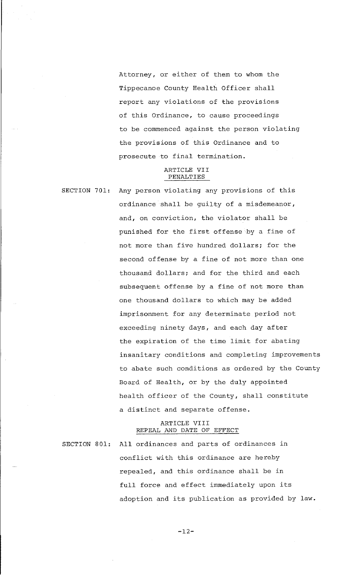Attorney, or either of them to whom the Tippecanoe County Health Officer shall report any violations of the provisions of this Ordinance, to cause proceedings to be commenced against the person violating the provisions of this Ordinance and to prosecute to final termination.

# ARTICLE VII PENALTIES

SECTION 701: Any person violating any provisions of this ordinance shall be guilty of a misdemeanor, and, on conviction, the violator shall be punished for the first offense by a fine of not more than five hundred dollars; for the second offense by a fine of not more than one thousand dollars; and for the third and each subsequent offense by a fine of not more than one thousand dollars to which may be added imprisonment for any determinate period not exceeding ninety days, and each day after the expiration of the time limit for abating insanitary conditions and completing improvements to abate such conditions as ordered by the County Board of Health, or by the duly appointed health officer of the County, shall constitute a distinct and separate offense.

## ARTICLE VIII REPEAL AND DATE OF EFFECT

SECTION 801: All ordinances and parts of ordinances in conflict with this ordinance are hereby repealed, and this ordinance shall be in full force and effect immediately upon its adoption and its publication as provided by law.

-12-